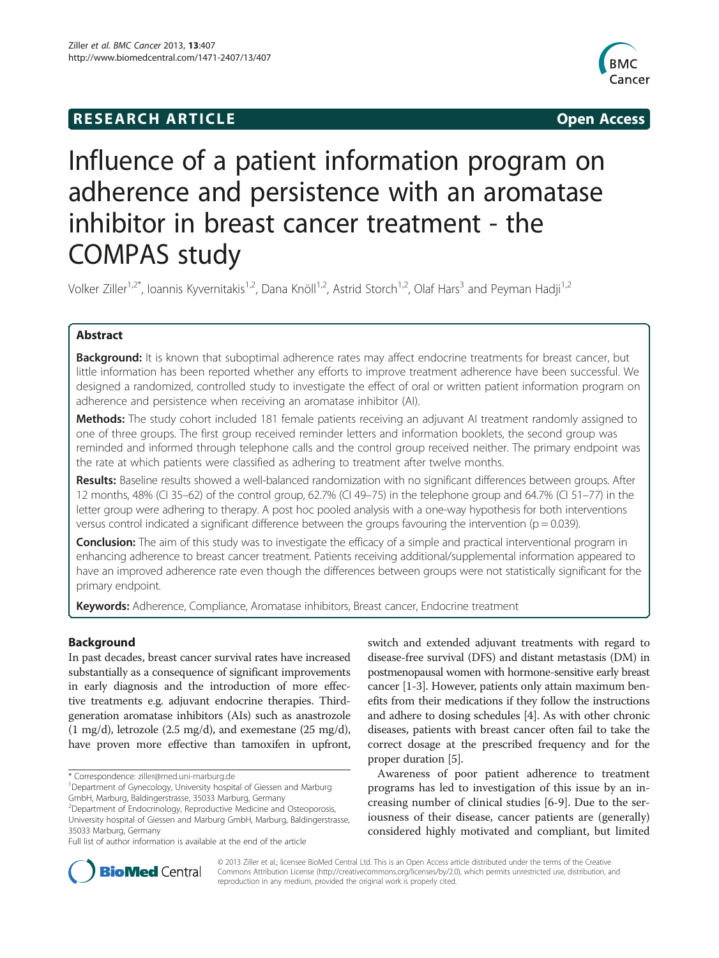## **RESEARCH ARTICLE Example 2014 12:30 The SEAR CHA RTICLE**



# Influence of a patient information program on adherence and persistence with an aromatase inhibitor in breast cancer treatment - the COMPAS study

Volker Ziller<sup>1,2\*</sup>, Ioannis Kyvernitakis<sup>1,2</sup>, Dana Knöll<sup>1,2</sup>, Astrid Storch<sup>1,2</sup>, Olaf Hars<sup>3</sup> and Peyman Hadji<sup>1,2</sup>

## Abstract

**Background:** It is known that suboptimal adherence rates may affect endocrine treatments for breast cancer, but little information has been reported whether any efforts to improve treatment adherence have been successful. We designed a randomized, controlled study to investigate the effect of oral or written patient information program on adherence and persistence when receiving an aromatase inhibitor (AI).

Methods: The study cohort included 181 female patients receiving an adjuvant AI treatment randomly assigned to one of three groups. The first group received reminder letters and information booklets, the second group was reminded and informed through telephone calls and the control group received neither. The primary endpoint was the rate at which patients were classified as adhering to treatment after twelve months.

Results: Baseline results showed a well-balanced randomization with no significant differences between groups. After 12 months, 48% (CI 35–62) of the control group, 62.7% (CI 49–75) in the telephone group and 64.7% (CI 51–77) in the letter group were adhering to therapy. A post hoc pooled analysis with a one-way hypothesis for both interventions versus control indicated a significant difference between the groups favouring the intervention ( $p = 0.039$ ).

Conclusion: The aim of this study was to investigate the efficacy of a simple and practical interventional program in enhancing adherence to breast cancer treatment. Patients receiving additional/supplemental information appeared to have an improved adherence rate even though the differences between groups were not statistically significant for the primary endpoint.

Keywords: Adherence, Compliance, Aromatase inhibitors, Breast cancer, Endocrine treatment

## Background

In past decades, breast cancer survival rates have increased substantially as a consequence of significant improvements in early diagnosis and the introduction of more effective treatments e.g. adjuvant endocrine therapies. Thirdgeneration aromatase inhibitors (AIs) such as anastrozole (1 mg/d), letrozole (2.5 mg/d), and exemestane (25 mg/d), have proven more effective than tamoxifen in upfront,

switch and extended adjuvant treatments with regard to disease-free survival (DFS) and distant metastasis (DM) in postmenopausal women with hormone-sensitive early breast cancer [[1-3\]](#page-7-0). However, patients only attain maximum benefits from their medications if they follow the instructions and adhere to dosing schedules [\[4\]](#page-7-0). As with other chronic diseases, patients with breast cancer often fail to take the correct dosage at the prescribed frequency and for the proper duration [\[5\]](#page-7-0).

Awareness of poor patient adherence to treatment programs has led to investigation of this issue by an increasing number of clinical studies [\[6-9](#page-7-0)]. Due to the seriousness of their disease, cancer patients are (generally) considered highly motivated and compliant, but limited



© 2013 Ziller et al.; licensee BioMed Central Ltd. This is an Open Access article distributed under the terms of the Creative Commons Attribution License [\(http://creativecommons.org/licenses/by/2.0\)](http://creativecommons.org/licenses/by/2.0), which permits unrestricted use, distribution, and reproduction in any medium, provided the original work is properly cited.

<sup>\*</sup> Correspondence: [ziller@med.uni-marburg.de](mailto:ziller@med.uni-marburg.de) <sup>1</sup>

<sup>&</sup>lt;sup>1</sup>Department of Gynecology, University hospital of Giessen and Marburg GmbH, Marburg, Baldingerstrasse, 35033 Marburg, Germany

<sup>&</sup>lt;sup>2</sup> Department of Endocrinology, Reproductive Medicine and Osteoporosis, University hospital of Giessen and Marburg GmbH, Marburg, Baldingerstrasse, 35033 Marburg, Germany

Full list of author information is available at the end of the article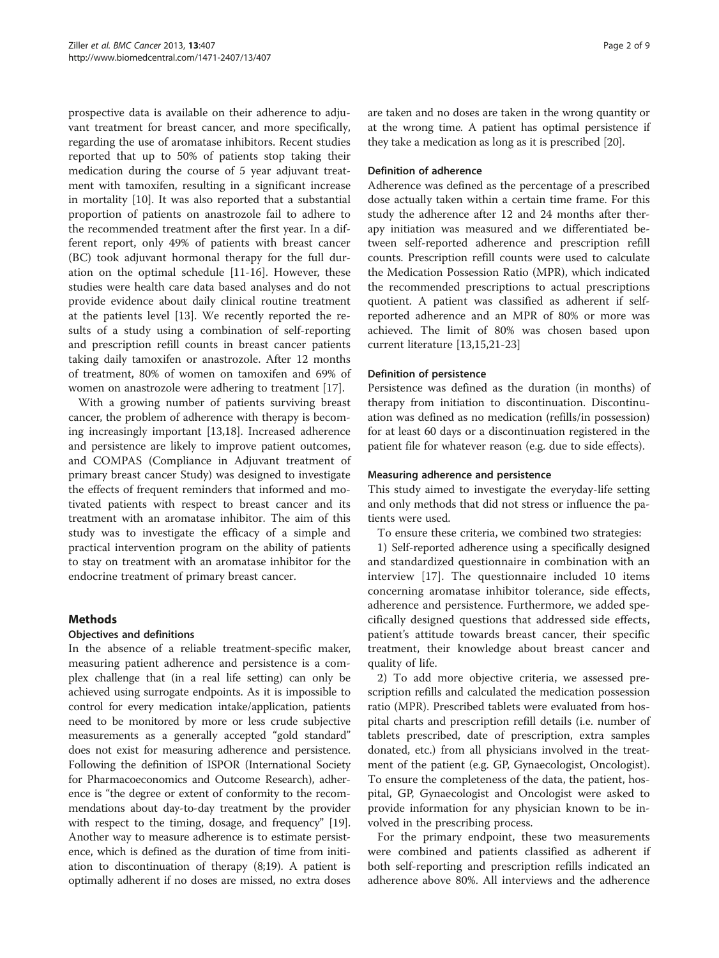prospective data is available on their adherence to adjuvant treatment for breast cancer, and more specifically, regarding the use of aromatase inhibitors. Recent studies reported that up to 50% of patients stop taking their medication during the course of 5 year adjuvant treatment with tamoxifen, resulting in a significant increase in mortality [[10](#page-7-0)]. It was also reported that a substantial proportion of patients on anastrozole fail to adhere to the recommended treatment after the first year. In a different report, only 49% of patients with breast cancer (BC) took adjuvant hormonal therapy for the full duration on the optimal schedule [[11-16\]](#page-7-0). However, these studies were health care data based analyses and do not provide evidence about daily clinical routine treatment at the patients level [[13\]](#page-7-0). We recently reported the results of a study using a combination of self-reporting and prescription refill counts in breast cancer patients taking daily tamoxifen or anastrozole. After 12 months of treatment, 80% of women on tamoxifen and 69% of women on anastrozole were adhering to treatment [[17](#page-7-0)].

With a growing number of patients surviving breast cancer, the problem of adherence with therapy is becoming increasingly important [\[13,18](#page-7-0)]. Increased adherence and persistence are likely to improve patient outcomes, and COMPAS (Compliance in Adjuvant treatment of primary breast cancer Study) was designed to investigate the effects of frequent reminders that informed and motivated patients with respect to breast cancer and its treatment with an aromatase inhibitor. The aim of this study was to investigate the efficacy of a simple and practical intervention program on the ability of patients to stay on treatment with an aromatase inhibitor for the endocrine treatment of primary breast cancer.

## Methods

#### Objectives and definitions

In the absence of a reliable treatment-specific maker, measuring patient adherence and persistence is a complex challenge that (in a real life setting) can only be achieved using surrogate endpoints. As it is impossible to control for every medication intake/application, patients need to be monitored by more or less crude subjective measurements as a generally accepted "gold standard" does not exist for measuring adherence and persistence. Following the definition of ISPOR (International Society for Pharmacoeconomics and Outcome Research), adherence is "the degree or extent of conformity to the recommendations about day-to-day treatment by the provider with respect to the timing, dosage, and frequency" [[19](#page-7-0)]. Another way to measure adherence is to estimate persistence, which is defined as the duration of time from initiation to discontinuation of therapy (8;19). A patient is optimally adherent if no doses are missed, no extra doses are taken and no doses are taken in the wrong quantity or at the wrong time. A patient has optimal persistence if they take a medication as long as it is prescribed [\[20\]](#page-7-0).

#### Definition of adherence

Adherence was defined as the percentage of a prescribed dose actually taken within a certain time frame. For this study the adherence after 12 and 24 months after therapy initiation was measured and we differentiated between self-reported adherence and prescription refill counts. Prescription refill counts were used to calculate the Medication Possession Ratio (MPR), which indicated the recommended prescriptions to actual prescriptions quotient. A patient was classified as adherent if selfreported adherence and an MPR of 80% or more was achieved. The limit of 80% was chosen based upon current literature [\[13,15,21-](#page-7-0)[23](#page-8-0)]

## Definition of persistence

Persistence was defined as the duration (in months) of therapy from initiation to discontinuation. Discontinuation was defined as no medication (refills/in possession) for at least 60 days or a discontinuation registered in the patient file for whatever reason (e.g. due to side effects).

## Measuring adherence and persistence

This study aimed to investigate the everyday-life setting and only methods that did not stress or influence the patients were used.

To ensure these criteria, we combined two strategies:

1) Self-reported adherence using a specifically designed and standardized questionnaire in combination with an interview [[17](#page-7-0)]. The questionnaire included 10 items concerning aromatase inhibitor tolerance, side effects, adherence and persistence. Furthermore, we added specifically designed questions that addressed side effects, patient's attitude towards breast cancer, their specific treatment, their knowledge about breast cancer and quality of life.

2) To add more objective criteria, we assessed prescription refills and calculated the medication possession ratio (MPR). Prescribed tablets were evaluated from hospital charts and prescription refill details (i.e. number of tablets prescribed, date of prescription, extra samples donated, etc.) from all physicians involved in the treatment of the patient (e.g. GP, Gynaecologist, Oncologist). To ensure the completeness of the data, the patient, hospital, GP, Gynaecologist and Oncologist were asked to provide information for any physician known to be involved in the prescribing process.

For the primary endpoint, these two measurements were combined and patients classified as adherent if both self-reporting and prescription refills indicated an adherence above 80%. All interviews and the adherence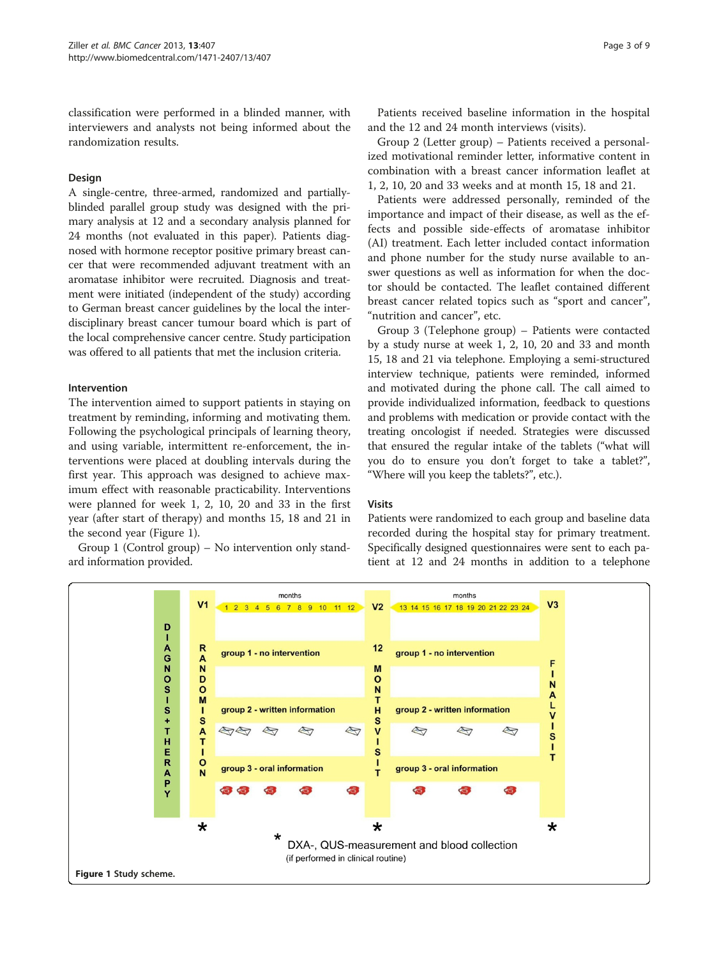classification were performed in a blinded manner, with interviewers and analysts not being informed about the randomization results.

## Design

A single-centre, three-armed, randomized and partiallyblinded parallel group study was designed with the primary analysis at 12 and a secondary analysis planned for 24 months (not evaluated in this paper). Patients diagnosed with hormone receptor positive primary breast cancer that were recommended adjuvant treatment with an aromatase inhibitor were recruited. Diagnosis and treatment were initiated (independent of the study) according to German breast cancer guidelines by the local the interdisciplinary breast cancer tumour board which is part of the local comprehensive cancer centre. Study participation was offered to all patients that met the inclusion criteria.

#### Intervention

The intervention aimed to support patients in staying on treatment by reminding, informing and motivating them. Following the psychological principals of learning theory, and using variable, intermittent re-enforcement, the interventions were placed at doubling intervals during the first year. This approach was designed to achieve maximum effect with reasonable practicability. Interventions were planned for week 1, 2, 10, 20 and 33 in the first year (after start of therapy) and months 15, 18 and 21 in the second year (Figure 1).

Group 1 (Control group) – No intervention only standard information provided.

Patients received baseline information in the hospital and the 12 and 24 month interviews (visits).

Group 2 (Letter group) – Patients received a personalized motivational reminder letter, informative content in combination with a breast cancer information leaflet at 1, 2, 10, 20 and 33 weeks and at month 15, 18 and 21.

Patients were addressed personally, reminded of the importance and impact of their disease, as well as the effects and possible side-effects of aromatase inhibitor (AI) treatment. Each letter included contact information and phone number for the study nurse available to answer questions as well as information for when the doctor should be contacted. The leaflet contained different breast cancer related topics such as "sport and cancer", "nutrition and cancer", etc.

Group 3 (Telephone group) – Patients were contacted by a study nurse at week 1, 2, 10, 20 and 33 and month 15, 18 and 21 via telephone. Employing a semi-structured interview technique, patients were reminded, informed and motivated during the phone call. The call aimed to provide individualized information, feedback to questions and problems with medication or provide contact with the treating oncologist if needed. Strategies were discussed that ensured the regular intake of the tablets ("what will you do to ensure you don't forget to take a tablet?", "Where will you keep the tablets?", etc.).

#### Visits

Patients were randomized to each group and baseline data recorded during the hospital stay for primary treatment. Specifically designed questionnaires were sent to each patient at 12 and 24 months in addition to a telephone

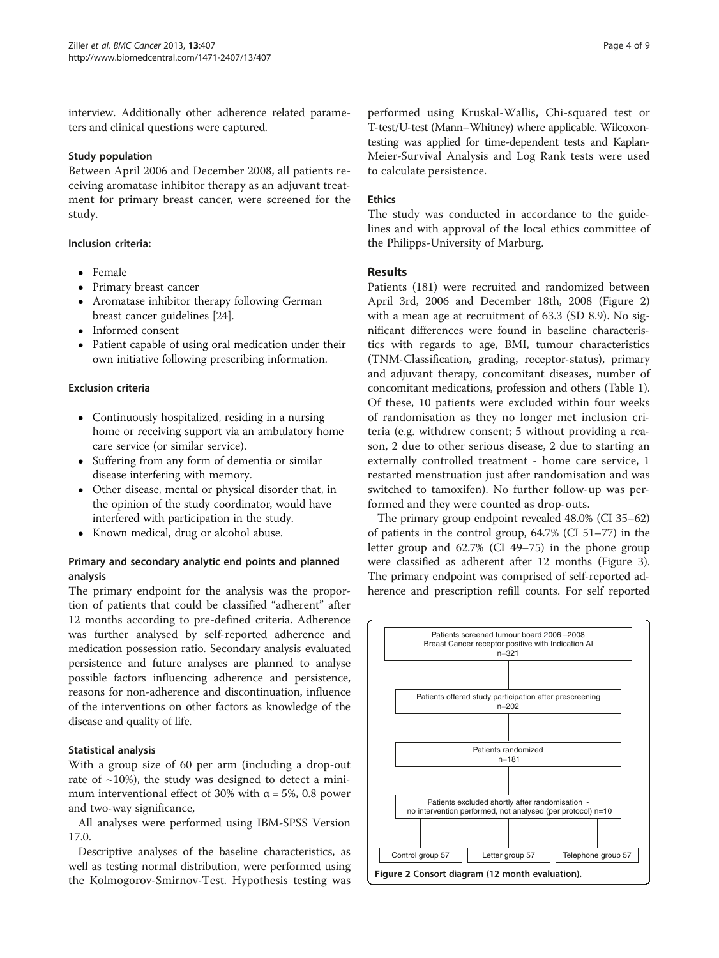interview. Additionally other adherence related parameters and clinical questions were captured.

## Study population

Between April 2006 and December 2008, all patients receiving aromatase inhibitor therapy as an adjuvant treatment for primary breast cancer, were screened for the study.

## Inclusion criteria:

- Female
- Primary breast cancer
- Aromatase inhibitor therapy following German breast cancer guidelines [\[24\]](#page-8-0).
- Informed consent
- Patient capable of using oral medication under their own initiative following prescribing information.

## Exclusion criteria

- Continuously hospitalized, residing in a nursing home or receiving support via an ambulatory home care service (or similar service).
- Suffering from any form of dementia or similar disease interfering with memory.
- Other disease, mental or physical disorder that, in the opinion of the study coordinator, would have interfered with participation in the study.
- Known medical, drug or alcohol abuse.

## Primary and secondary analytic end points and planned analysis

The primary endpoint for the analysis was the proportion of patients that could be classified "adherent" after 12 months according to pre-defined criteria. Adherence was further analysed by self-reported adherence and medication possession ratio. Secondary analysis evaluated persistence and future analyses are planned to analyse possible factors influencing adherence and persistence, reasons for non-adherence and discontinuation, influence of the interventions on other factors as knowledge of the disease and quality of life.

## Statistical analysis

With a group size of 60 per arm (including a drop-out rate of  $\sim$ 10%), the study was designed to detect a minimum interventional effect of 30% with  $\alpha$  = 5%, 0.8 power and two-way significance,

All analyses were performed using IBM-SPSS Version 17.0.

Descriptive analyses of the baseline characteristics, as well as testing normal distribution, were performed using the Kolmogorov-Smirnov-Test. Hypothesis testing was

performed using Kruskal-Wallis, Chi-squared test or T-test/U-test (Mann–Whitney) where applicable. Wilcoxontesting was applied for time-dependent tests and Kaplan-Meier-Survival Analysis and Log Rank tests were used to calculate persistence.

## Ethics

The study was conducted in accordance to the guidelines and with approval of the local ethics committee of the Philipps-University of Marburg.

## Results

Patients (181) were recruited and randomized between April 3rd, 2006 and December 18th, 2008 (Figure 2) with a mean age at recruitment of 63.3 (SD 8.9). No significant differences were found in baseline characteristics with regards to age, BMI, tumour characteristics (TNM-Classification, grading, receptor-status), primary and adjuvant therapy, concomitant diseases, number of concomitant medications, profession and others (Table [1](#page-4-0)). Of these, 10 patients were excluded within four weeks of randomisation as they no longer met inclusion criteria (e.g. withdrew consent; 5 without providing a reason, 2 due to other serious disease, 2 due to starting an externally controlled treatment - home care service, 1 restarted menstruation just after randomisation and was switched to tamoxifen). No further follow-up was performed and they were counted as drop-outs.

The primary group endpoint revealed 48.0% (CI 35–62) of patients in the control group, 64.7% (CI 51–77) in the letter group and 62.7% (CI 49–75) in the phone group were classified as adherent after 12 months (Figure [3](#page-5-0)). The primary endpoint was comprised of self-reported adherence and prescription refill counts. For self reported

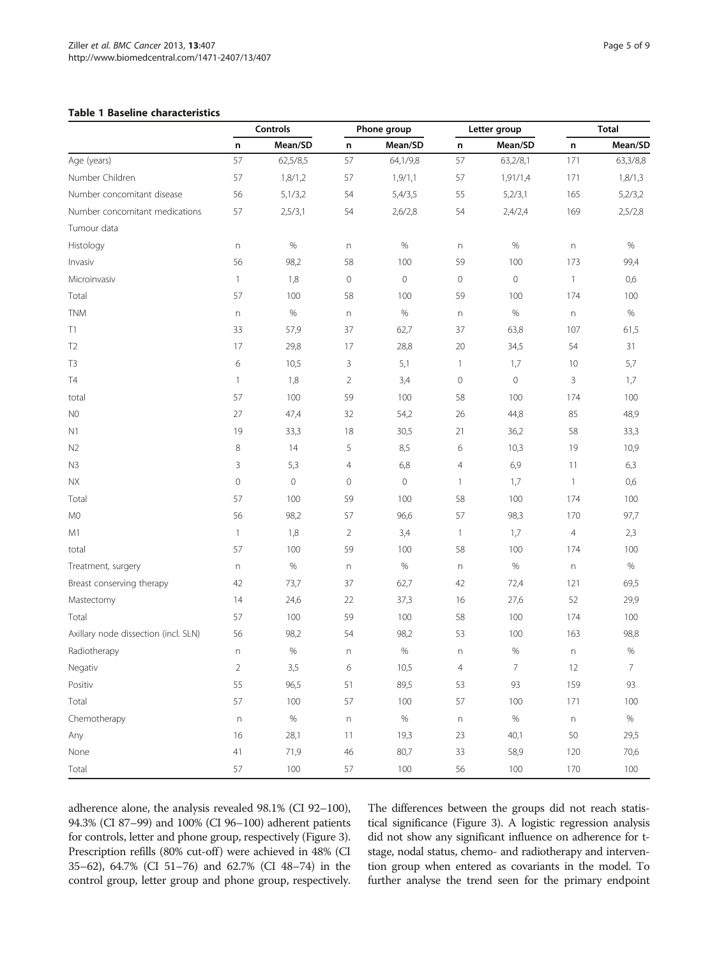#### <span id="page-4-0"></span>Table 1 Baseline characteristics

|                                      | Controls                  |          | Phone group               |             | Letter group   |                | <b>Total</b>   |                |
|--------------------------------------|---------------------------|----------|---------------------------|-------------|----------------|----------------|----------------|----------------|
|                                      | n                         | Mean/SD  | n                         | Mean/SD     | n              | Mean/SD        | n              | Mean/SD        |
| Age (years)                          | 57                        | 62,5/8,5 | 57                        | 64,1/9,8    | 57             | 63,2/8,1       | 171            | 63,3/8,8       |
| Number Children                      | 57                        | 1,8/1,2  | 57                        | 1,9/1,1     | 57             | 1,91/1,4       | 171            | 1,8/1,3        |
| Number concomitant disease           | 56                        | 5,1/3,2  | 54                        | 5,4/3,5     | 55             | 5,2/3,1        | 165            | 5,2/3,2        |
| Number concomitant medications       | 57                        | 2,5/3,1  | 54                        | 2,6/2,8     | 54             | 2,4/2,4        | 169            | 2,5/2,8        |
| Tumour data                          |                           |          |                           |             |                |                |                |                |
| Histology                            | $\mathsf{n}$              | $\%$     | $\boldsymbol{\mathsf{n}}$ | $\%$        | n              | $\%$           | n              | $\%$           |
| Invasiv                              | 56                        | 98,2     | 58                        | 100         | 59             | 100            | 173            | 99,4           |
| Microinvasiv                         | $\mathbf{1}$              | 1,8      | $\mathbf 0$               | $\circ$     | $\circ$        | $\mathbf 0$    | $\mathbf{1}$   | 0,6            |
| Total                                | 57                        | 100      | 58                        | 100         | 59             | 100            | 174            | 100            |
| <b>TNM</b>                           | $\mathsf{n}$              | $\%$     | $\boldsymbol{\mathsf{n}}$ | $\%$        | n              | $\%$           | n              | $\%$           |
| Τ1                                   | 33                        | 57,9     | 37                        | 62,7        | 37             | 63,8           | 107            | 61,5           |
| T <sub>2</sub>                       | 17                        | 29,8     | 17                        | 28,8        | 20             | 34,5           | 54             | 31             |
| T <sub>3</sub>                       | 6                         | 10,5     | 3                         | 5,1         | $\mathbf{1}$   | 1,7            | 10             | 5,7            |
| <b>T4</b>                            | $\mathbf{1}$              | 1,8      | $\overline{2}$            | 3,4         | $\circ$        | $\overline{0}$ | 3              | 1,7            |
| total                                | 57                        | 100      | 59                        | 100         | 58             | 100            | 174            | 100            |
| N <sub>0</sub>                       | 27                        | 47,4     | 32                        | 54,2        | 26             | 44,8           | 85             | 48,9           |
| N1                                   | 19                        | 33,3     | 18                        | 30,5        | 21             | 36,2           | 58             | 33,3           |
| N <sub>2</sub>                       | 8                         | 14       | 5                         | 8,5         | 6              | 10,3           | 19             | 10,9           |
| N3                                   | 3                         | 5,3      | $\overline{4}$            | 6,8         | $\overline{4}$ | 6,9            | 11             | 6,3            |
| ΝX                                   | $\mathbf 0$               | $\circ$  | $\circ$                   | $\mathbf 0$ | $\mathbf{1}$   | 1,7            | $\mathbf{1}$   | 0,6            |
| Total                                | 57                        | 100      | 59                        | 100         | 58             | 100            | 174            | 100            |
| M <sub>0</sub>                       | 56                        | 98,2     | 57                        | 96,6        | 57             | 98,3           | 170            | 97,7           |
| M1                                   | $\mathbf{1}$              | 1,8      | $\overline{2}$            | 3,4         | $\mathbf{1}$   | 1,7            | $\overline{4}$ | 2,3            |
| total                                | 57                        | 100      | 59                        | 100         | 58             | 100            | 174            | 100            |
| Treatment, surgery                   | $\boldsymbol{\mathsf{n}}$ | $\%$     | $\boldsymbol{\mathsf{n}}$ | $\%$        | n              | $\%$           | n              | $\%$           |
| Breast conserving therapy            | 42                        | 73,7     | 37                        | 62,7        | 42             | 72,4           | 121            | 69,5           |
| Mastectomy                           | 14                        | 24,6     | 22                        | 37,3        | 16             | 27,6           | 52             | 29,9           |
| Total                                | 57                        | 100      | 59                        | 100         | 58             | 100            | 174            | 100            |
| Axillary node dissection (incl. SLN) | 56                        | 98,2     | 54                        | 98,2        | 53             | 100            | 163            | 98,8           |
| Radiotherapy                         | $\boldsymbol{\mathsf{n}}$ | $\%$     | $\boldsymbol{\mathsf{n}}$ | $\%$        | n              | $\%$           | $\mathsf{n}$   | $\%$           |
| Negativ                              | $\overline{2}$            | 3,5      | 6                         | 10,5        | $\overline{4}$ | $\overline{7}$ | 12             | $\overline{7}$ |
| Positiv                              | 55                        | 96,5     | 51                        | 89,5        | 53             | 93             | 159            | 93             |
| Total                                | 57                        | 100      | 57                        | 100         | 57             | 100            | 171            | 100            |

Chemotherapy n % n % n % n % Any 16 28,1 11 19,3 23 40,1 50 29,5 None 11 41 71,9 46 80,7 33 58,9 120 70,6 Total 57 100 57 100 56 100 170 100

adherence alone, the analysis revealed 98.1% (CI 92–100), 94.3% (CI 87–99) and 100% (CI 96–100) adherent patients for controls, letter and phone group, respectively (Figure [3](#page-5-0)). Prescription refills (80% cut-off) were achieved in 48% (CI 35–62), 64.7% (CI 51–76) and 62.7% (CI 48–74) in the control group, letter group and phone group, respectively. The differences between the groups did not reach statistical significance (Figure [3\)](#page-5-0). A logistic regression analysis did not show any significant influence on adherence for tstage, nodal status, chemo- and radiotherapy and intervention group when entered as covariants in the model. To further analyse the trend seen for the primary endpoint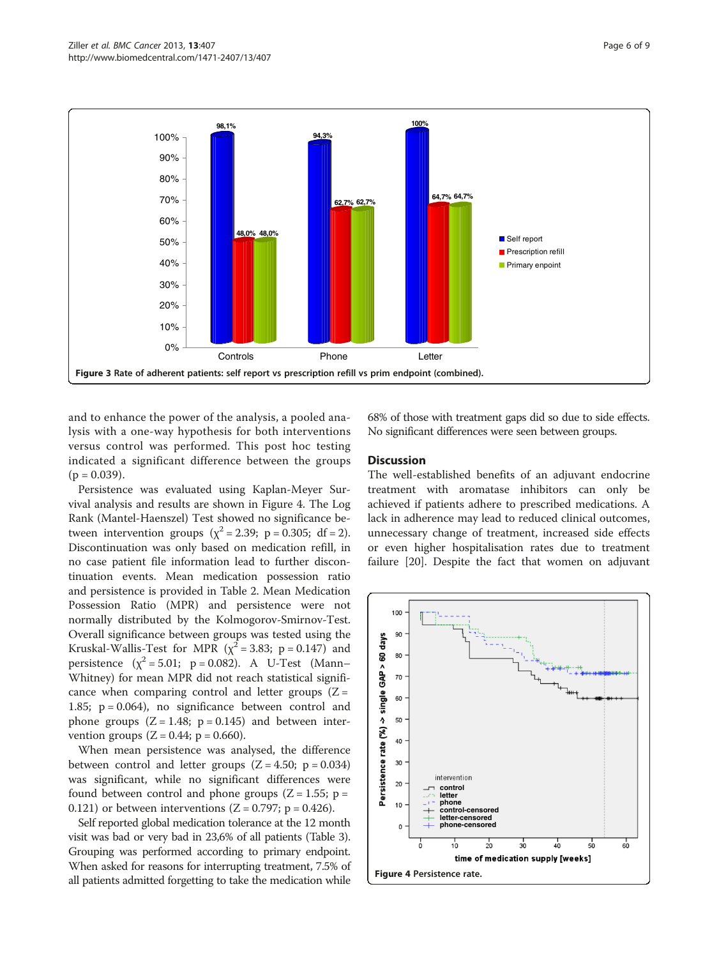<span id="page-5-0"></span>

and to enhance the power of the analysis, a pooled analysis with a one-way hypothesis for both interventions versus control was performed. This post hoc testing indicated a significant difference between the groups  $(p = 0.039)$ .

Persistence was evaluated using Kaplan-Meyer Survival analysis and results are shown in Figure 4. The Log Rank (Mantel-Haenszel) Test showed no significance between intervention groups ( $\chi^2$  = 2.39; p = 0.305; df = 2). Discontinuation was only based on medication refill, in no case patient file information lead to further discontinuation events. Mean medication possession ratio and persistence is provided in Table [2.](#page-6-0) Mean Medication Possession Ratio (MPR) and persistence were not normally distributed by the Kolmogorov-Smirnov-Test. Overall significance between groups was tested using the Kruskal-Wallis-Test for MPR ( $\chi^2$  = 3.83; p = 0.147) and persistence  $(\chi^2 = 5.01; p = 0.082)$ . A U-Test (Mann– Whitney) for mean MPR did not reach statistical significance when comparing control and letter groups  $(Z =$ 1.85;  $p = 0.064$ ), no significance between control and phone groups  $(Z = 1.48; p = 0.145)$  and between intervention groups  $(Z = 0.44; p = 0.660)$ .

When mean persistence was analysed, the difference between control and letter groups  $(Z = 4.50; p = 0.034)$ was significant, while no significant differences were found between control and phone groups  $(Z = 1.55; p =$ 0.121) or between interventions ( $Z = 0.797$ ; p = 0.426).

Self reported global medication tolerance at the 12 month visit was bad or very bad in 23,6% of all patients (Table [3](#page-6-0)). Grouping was performed according to primary endpoint. When asked for reasons for interrupting treatment, 7.5% of all patients admitted forgetting to take the medication while 68% of those with treatment gaps did so due to side effects. No significant differences were seen between groups.

## **Discussion**

The well-established benefits of an adjuvant endocrine treatment with aromatase inhibitors can only be achieved if patients adhere to prescribed medications. A lack in adherence may lead to reduced clinical outcomes, unnecessary change of treatment, increased side effects or even higher hospitalisation rates due to treatment failure [[20](#page-7-0)]. Despite the fact that women on adjuvant

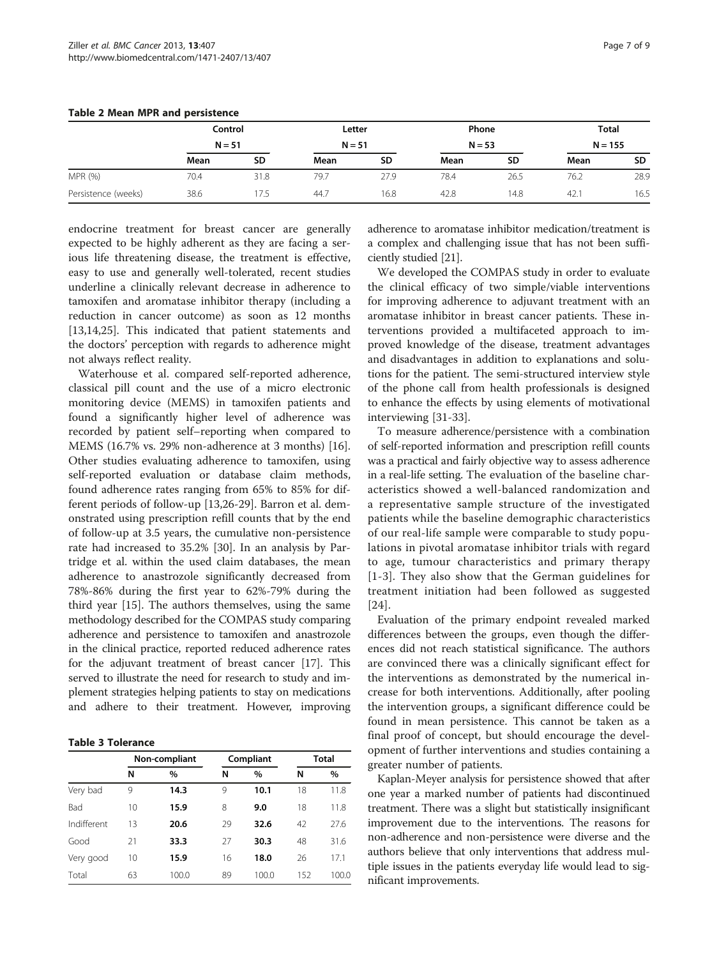|                     | Control<br>$N = 51$ |      | Letter<br>$N = 51$ |           | Phone<br>$N = 53$ |      | <b>Total</b><br>$N = 155$ |      |
|---------------------|---------------------|------|--------------------|-----------|-------------------|------|---------------------------|------|
|                     |                     |      |                    |           |                   |      |                           |      |
|                     | Mean                | SD   | Mean               | <b>SD</b> | Mean              | SD   | Mean                      | SD   |
| MPR (%)             | 70.4                | 31.8 | 79.7               | 27.9      | 78.4              | 26.5 | 76.2                      | 28.9 |
| Persistence (weeks) | 38.6                |      | 44.7               | 16.8      | 42.8              | 14.8 | 42.1                      | 16.5 |

#### <span id="page-6-0"></span>Table 2 Mean MPR and persistence

endocrine treatment for breast cancer are generally expected to be highly adherent as they are facing a serious life threatening disease, the treatment is effective, easy to use and generally well-tolerated, recent studies underline a clinically relevant decrease in adherence to tamoxifen and aromatase inhibitor therapy (including a reduction in cancer outcome) as soon as 12 months [[13,14,](#page-7-0)[25\]](#page-8-0). This indicated that patient statements and the doctors' perception with regards to adherence might not always reflect reality.

Waterhouse et al. compared self-reported adherence, classical pill count and the use of a micro electronic monitoring device (MEMS) in tamoxifen patients and found a significantly higher level of adherence was recorded by patient self–reporting when compared to MEMS (16.7% vs. 29% non-adherence at 3 months) [\[16](#page-7-0)]. Other studies evaluating adherence to tamoxifen, using self-reported evaluation or database claim methods, found adherence rates ranging from 65% to 85% for different periods of follow-up [\[13](#page-7-0)[,26](#page-8-0)-[29\]](#page-8-0). Barron et al. demonstrated using prescription refill counts that by the end of follow-up at 3.5 years, the cumulative non-persistence rate had increased to 35.2% [[30\]](#page-8-0). In an analysis by Partridge et al. within the used claim databases, the mean adherence to anastrozole significantly decreased from 78%-86% during the first year to 62%-79% during the third year [\[15\]](#page-7-0). The authors themselves, using the same methodology described for the COMPAS study comparing adherence and persistence to tamoxifen and anastrozole in the clinical practice, reported reduced adherence rates for the adjuvant treatment of breast cancer [[17](#page-7-0)]. This served to illustrate the need for research to study and implement strategies helping patients to stay on medications and adhere to their treatment. However, improving

#### Table 3 Tolerance

|             | Non-compliant |       |    | Compliant | Total |       |
|-------------|---------------|-------|----|-----------|-------|-------|
|             | N             | $\%$  | N  | $\%$      | Ν     | $\%$  |
| Very bad    | 9             | 14.3  | 9  | 10.1      | 18    | 11.8  |
| Bad         | 10            | 15.9  | 8  | 9.0       | 18    | 11.8  |
| Indifferent | 13            | 20.6  | 29 | 32.6      | 42    | 27.6  |
| Good        | 21            | 33.3  | 27 | 30.3      | 48    | 31.6  |
| Very good   | 10            | 15.9  | 16 | 18.0      | 26    | 17.1  |
| Total       | 63            | 100.0 | 89 | 100.0     | 152   | 100.0 |

adherence to aromatase inhibitor medication/treatment is a complex and challenging issue that has not been sufficiently studied [\[21](#page-7-0)].

We developed the COMPAS study in order to evaluate the clinical efficacy of two simple/viable interventions for improving adherence to adjuvant treatment with an aromatase inhibitor in breast cancer patients. These interventions provided a multifaceted approach to improved knowledge of the disease, treatment advantages and disadvantages in addition to explanations and solutions for the patient. The semi-structured interview style of the phone call from health professionals is designed to enhance the effects by using elements of motivational interviewing [\[31](#page-8-0)-[33\]](#page-8-0).

To measure adherence/persistence with a combination of self-reported information and prescription refill counts was a practical and fairly objective way to assess adherence in a real-life setting. The evaluation of the baseline characteristics showed a well-balanced randomization and a representative sample structure of the investigated patients while the baseline demographic characteristics of our real-life sample were comparable to study populations in pivotal aromatase inhibitor trials with regard to age, tumour characteristics and primary therapy [[1](#page-7-0)-[3](#page-7-0)]. They also show that the German guidelines for treatment initiation had been followed as suggested [[24](#page-8-0)].

Evaluation of the primary endpoint revealed marked differences between the groups, even though the differences did not reach statistical significance. The authors are convinced there was a clinically significant effect for the interventions as demonstrated by the numerical increase for both interventions. Additionally, after pooling the intervention groups, a significant difference could be found in mean persistence. This cannot be taken as a final proof of concept, but should encourage the development of further interventions and studies containing a greater number of patients.

Kaplan-Meyer analysis for persistence showed that after one year a marked number of patients had discontinued treatment. There was a slight but statistically insignificant improvement due to the interventions. The reasons for non-adherence and non-persistence were diverse and the authors believe that only interventions that address multiple issues in the patients everyday life would lead to significant improvements.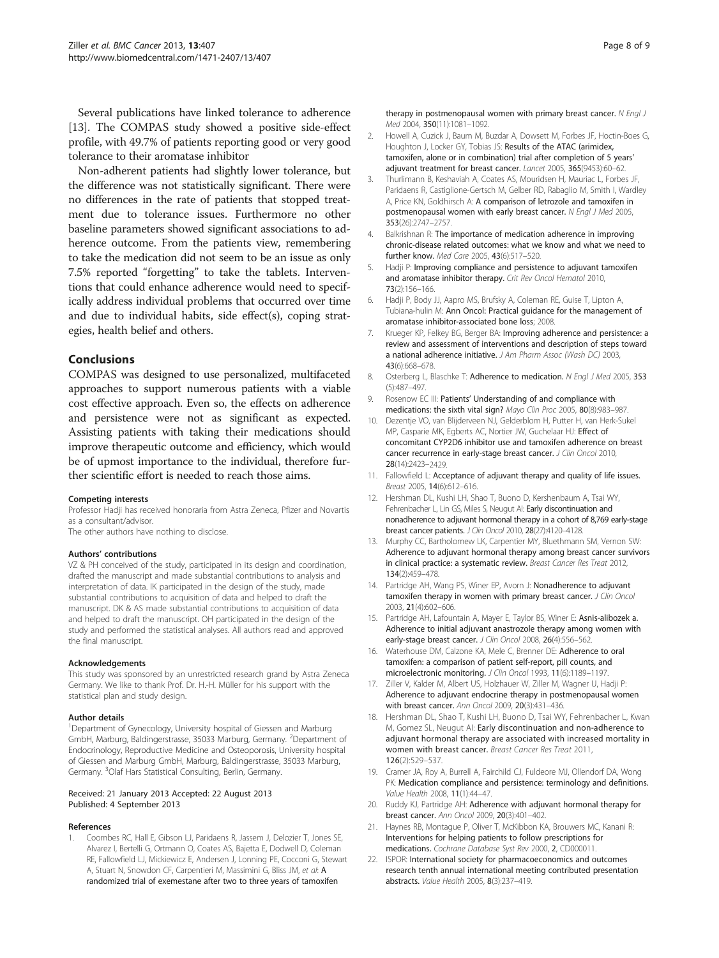<span id="page-7-0"></span>Several publications have linked tolerance to adherence [13]. The COMPAS study showed a positive side-effect profile, with 49.7% of patients reporting good or very good tolerance to their aromatase inhibitor

Non-adherent patients had slightly lower tolerance, but the difference was not statistically significant. There were no differences in the rate of patients that stopped treatment due to tolerance issues. Furthermore no other baseline parameters showed significant associations to adherence outcome. From the patients view, remembering to take the medication did not seem to be an issue as only 7.5% reported "forgetting" to take the tablets. Interventions that could enhance adherence would need to specifically address individual problems that occurred over time and due to individual habits, side effect(s), coping strategies, health belief and others.

## Conclusions

COMPAS was designed to use personalized, multifaceted approaches to support numerous patients with a viable cost effective approach. Even so, the effects on adherence and persistence were not as significant as expected. Assisting patients with taking their medications should improve therapeutic outcome and efficiency, which would be of upmost importance to the individual, therefore further scientific effort is needed to reach those aims.

#### Competing interests

Professor Hadji has received honoraria from Astra Zeneca, Pfizer and Novartis as a consultant/advisor.

The other authors have nothing to disclose.

#### Authors' contributions

VZ & PH conceived of the study, participated in its design and coordination, drafted the manuscript and made substantial contributions to analysis and interpretation of data. IK participated in the design of the study, made substantial contributions to acquisition of data and helped to draft the manuscript. DK & AS made substantial contributions to acquisition of data and helped to draft the manuscript. OH participated in the design of the study and performed the statistical analyses. All authors read and approved the final manuscript.

#### Acknowledgements

This study was sponsored by an unrestricted research grand by Astra Zeneca Germany. We like to thank Prof. Dr. H.-H. Müller for his support with the statistical plan and study design.

#### Author details

<sup>1</sup>Department of Gynecology, University hospital of Giessen and Marburg GmbH, Marburg, Baldingerstrasse, 35033 Marburg, Germany. <sup>2</sup>Department of Endocrinology, Reproductive Medicine and Osteoporosis, University hospital of Giessen and Marburg GmbH, Marburg, Baldingerstrasse, 35033 Marburg, Germany. <sup>3</sup>Olaf Hars Statistical Consulting, Berlin, Germany.

#### Received: 21 January 2013 Accepted: 22 August 2013 Published: 4 September 2013

#### References

1. Coombes RC, Hall E, Gibson LJ, Paridaens R, Jassem J, Delozier T, Jones SE, Alvarez I, Bertelli G, Ortmann O, Coates AS, Bajetta E, Dodwell D, Coleman RE, Fallowfield LJ, Mickiewicz E, Andersen J, Lonning PE, Cocconi G, Stewart A, Stuart N, Snowdon CF, Carpentieri M, Massimini G, Bliss JM, et al: A randomized trial of exemestane after two to three years of tamoxifen

therapy in postmenopausal women with primary breast cancer. N Engl J Med 2004, 350(11):1081–1092.

- 2. Howell A, Cuzick J, Baum M, Buzdar A, Dowsett M, Forbes JF, Hoctin-Boes G, Houghton J, Locker GY, Tobias JS: Results of the ATAC (arimidex, tamoxifen, alone or in combination) trial after completion of 5 years' adjuvant treatment for breast cancer. Lancet 2005, 365(9453):60–62.
- 3. Thurlimann B, Keshaviah A, Coates AS, Mouridsen H, Mauriac L, Forbes JF, Paridaens R, Castiglione-Gertsch M, Gelber RD, Rabaglio M, Smith I, Wardley A, Price KN, Goldhirsch A: A comparison of letrozole and tamoxifen in postmenopausal women with early breast cancer. N Engl J Med 2005, 353(26):2747–2757.
- 4. Balkrishnan R: The importance of medication adherence in improving chronic-disease related outcomes: what we know and what we need to further know. Med Care 2005, 43(6):517–520.
- Hadji P: Improving compliance and persistence to adjuvant tamoxifen and aromatase inhibitor therapy. Crit Rev Oncol Hematol 2010, 73(2):156–166.
- 6. Hadji P, Body JJ, Aapro MS, Brufsky A, Coleman RE, Guise T, Lipton A, Tubiana-hulin M: Ann Oncol: Practical guidance for the management of aromatase inhibitor-associated bone loss; 2008.
- 7. Krueger KP, Felkey BG, Berger BA: Improving adherence and persistence: a review and assessment of interventions and description of steps toward a national adherence initiative. J Am Pharm Assoc (Wash DC) 2003, 43(6):668–678.
- 8. Osterberg L, Blaschke T: Adherence to medication. N Engl J Med 2005, 353 (5):487–497.
- 9. Rosenow EC III: Patients' Understanding of and compliance with medications: the sixth vital sign? Mayo Clin Proc 2005, 80(8):983–987.
- 10. Dezentje VO, van Blijderveen NJ, Gelderblom H, Putter H, van Herk-Sukel MP, Casparie MK, Egberts AC, Nortier JW, Guchelaar HJ: Effect of concomitant CYP2D6 inhibitor use and tamoxifen adherence on breast cancer recurrence in early-stage breast cancer. J Clin Oncol 2010, 28(14):2423–2429.
- 11. Fallowfield L: Acceptance of adjuvant therapy and quality of life issues. Breast 2005, 14(6):612–616.
- 12. Hershman DL, Kushi LH, Shao T, Buono D, Kershenbaum A, Tsai WY, Fehrenbacher L, Lin GS, Miles S, Neugut AI: Early discontinuation and nonadherence to adjuvant hormonal therapy in a cohort of 8,769 early-stage breast cancer patients. J Clin Oncol 2010, 28(27):4120–4128.
- 13. Murphy CC, Bartholomew LK, Carpentier MY, Bluethmann SM, Vernon SW: Adherence to adjuvant hormonal therapy among breast cancer survivors in clinical practice: a systematic review. Breast Cancer Res Treat 2012, 134(2):459–478.
- 14. Partridge AH, Wang PS, Winer EP, Avorn J: Nonadherence to adjuvant tamoxifen therapy in women with primary breast cancer. J Clin Oncol 2003, 21(4):602–606.
- 15. Partridge AH, Lafountain A, Mayer E, Taylor BS, Winer E: Asnis-alibozek a. Adherence to initial adjuvant anastrozole therapy among women with early-stage breast cancer. J Clin Oncol 2008, 26(4):556-562.
- 16. Waterhouse DM, Calzone KA, Mele C, Brenner DE: Adherence to oral tamoxifen: a comparison of patient self-report, pill counts, and microelectronic monitoring. J Clin Oncol 1993, 11(6):1189–1197.
- 17. Ziller V, Kalder M, Albert US, Holzhauer W, Ziller M, Wagner U, Hadji P: Adherence to adjuvant endocrine therapy in postmenopausal women with breast cancer. Ann Oncol 2009, 20(3):431–436.
- 18. Hershman DL, Shao T, Kushi LH, Buono D, Tsai WY, Fehrenbacher L, Kwan M, Gomez SL, Neugut AI: Early discontinuation and non-adherence to adjuvant hormonal therapy are associated with increased mortality in women with breast cancer. Breast Cancer Res Treat 2011, 126(2):529–537.
- 19. Cramer JA, Roy A, Burrell A, Fairchild CJ, Fuldeore MJ, Ollendorf DA, Wong PK: Medication compliance and persistence: terminology and definitions. Value Health 2008, 11(1):44–47.
- 20. Ruddy KJ, Partridge AH: Adherence with adjuvant hormonal therapy for breast cancer. Ann Oncol 2009, 20(3):401–402.
- 21. Haynes RB, Montague P, Oliver T, McKibbon KA, Brouwers MC, Kanani R: Interventions for helping patients to follow prescriptions for medications. Cochrane Database Syst Rev 2000, 2, CD000011.
- 22. ISPOR: International society for pharmacoeconomics and outcomes research tenth annual international meeting contributed presentation abstracts. Value Health 2005, 8(3):237–419.